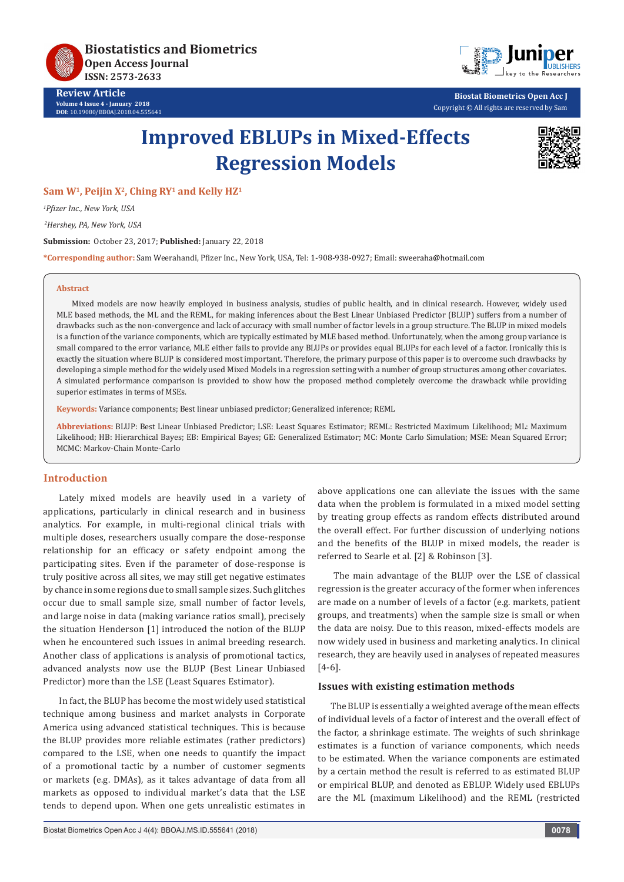**Biostatistics and Biometrics Open Access Journal ISSN: 2573-2633**

**Review Article Volume 4 Issue 4 - January 2018 DOI:** [10.19080/BBOAJ.2018.04.555641](http://dx.doi.org/10.19080/BBOAJ.2018.04.555641)



**Biostat Biometrics Open Acc J** Copyright © All rights are reserved by Sam

# **Improved EBLUPs in Mixed-Effects Regression Models**



Sam W<sup>1</sup>, Peijin X<sup>2</sup>, Ching RY<sup>1</sup> and Kelly HZ<sup>1</sup>

*1 Pfizer Inc., New York, USA*

 *2Hershey, PA, New York, USA*

**Submission:** October 23, 2017; **Published:** January 22, 2018

**\*Corresponding author:** Sam Weerahandi, Pfizer Inc., New York, USA, Tel: 1-908-938-0927; Email:

#### **Abstract**

Mixed models are now heavily employed in business analysis, studies of public health, and in clinical research. However, widely used MLE based methods, the ML and the REML, for making inferences about the Best Linear Unbiased Predictor (BLUP) suffers from a number of drawbacks such as the non-convergence and lack of accuracy with small number of factor levels in a group structure. The BLUP in mixed models is a function of the variance components, which are typically estimated by MLE based method. Unfortunately, when the among group variance is small compared to the error variance, MLE either fails to provide any BLUPs or provides equal BLUPs for each level of a factor. Ironically this is exactly the situation where BLUP is considered most important. Therefore, the primary purpose of this paper is to overcome such drawbacks by developing a simple method for the widely used Mixed Models in a regression setting with a number of group structures among other covariates. A simulated performance comparison is provided to show how the proposed method completely overcome the drawback while providing superior estimates in terms of MSEs.

**Keywords:** Variance components; Best linear unbiased predictor; Generalized inference; REML

**Abbreviations:** BLUP: Best Linear Unbiased Predictor; LSE: Least Squares Estimator; REML: Restricted Maximum Likelihood; ML: Maximum Likelihood; HB: Hierarchical Bayes; EB: Empirical Bayes; GE: Generalized Estimator; MC: Monte Carlo Simulation; MSE: Mean Squared Error; MCMC: Markov-Chain Monte-Carlo

## **Introduction**

Lately mixed models are heavily used in a variety of applications, particularly in clinical research and in business analytics. For example, in multi-regional clinical trials with multiple doses, researchers usually compare the dose-response relationship for an efficacy or safety endpoint among the participating sites. Even if the parameter of dose-response is truly positive across all sites, we may still get negative estimates by chance in some regions due to small sample sizes. Such glitches occur due to small sample size, small number of factor levels, and large noise in data (making variance ratios small), precisely the situation Henderson [1] introduced the notion of the BLUP when he encountered such issues in animal breeding research. Another class of applications is analysis of promotional tactics, advanced analysts now use the BLUP (Best Linear Unbiased Predictor) more than the LSE (Least Squares Estimator).

In fact, the BLUP has become the most widely used statistical technique among business and market analysts in Corporate America using advanced statistical techniques. This is because the BLUP provides more reliable estimates (rather predictors) compared to the LSE, when one needs to quantify the impact of a promotional tactic by a number of customer segments or markets (e.g. DMAs), as it takes advantage of data from all markets as opposed to individual market's data that the LSE tends to depend upon. When one gets unrealistic estimates in

above applications one can alleviate the issues with the same data when the problem is formulated in a mixed model setting by treating group effects as random effects distributed around the overall effect. For further discussion of underlying notions and the benefits of the BLUP in mixed models, the reader is referred to Searle et al. [2] & Robinson [3].

The main advantage of the BLUP over the LSE of classical regression is the greater accuracy of the former when inferences are made on a number of levels of a factor (e.g. markets, patient groups, and treatments) when the sample size is small or when the data are noisy. Due to this reason, mixed-effects models are now widely used in business and marketing analytics. In clinical research, they are heavily used in analyses of repeated measures [4-6].

# **Issues with existing estimation methods**

The BLUP is essentially a weighted average of the mean effects of individual levels of a factor of interest and the overall effect of the factor, a shrinkage estimate. The weights of such shrinkage estimates is a function of variance components, which needs to be estimated. When the variance components are estimated by a certain method the result is referred to as estimated BLUP or empirical BLUP, and denoted as EBLUP. Widely used EBLUPs are the ML (maximum Likelihood) and the REML (restricted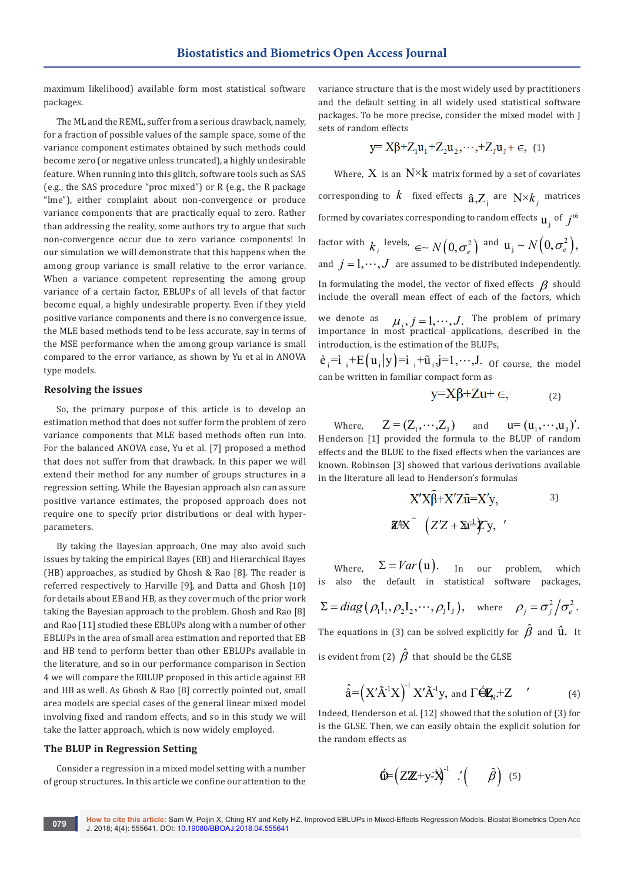maximum likelihood) available form most statistical software packages.

The ML and the REML, suffer from a serious drawback, namely, for a fraction of possible values of the sample space, some of the variance component estimates obtained by such methods could become zero (or negative unless truncated), a highly undesirable feature. When running into this glitch, software tools such as SAS (e.g., the SAS procedure "proc mixed") or R (e.g., the R package "lme"), either complaint about non-convergence or produce variance components that are practically equal to zero. Rather than addressing the reality, some authors try to argue that such non-convergence occur due to zero variance components! In our simulation we will demonstrate that this happens when the among group variance is small relative to the error variance. When a variance competent representing the among group variance of a certain factor, EBLUPs of all levels of that factor become equal, a highly undesirable property. Even if they yield positive variance components and there is no convergence issue, the MLE based methods tend to be less accurate, say in terms of the MSE performance when the among group variance is small compared to the error variance, as shown by Yu et al in ANOVA type models.

## **Resolving the issues**

So, the primary purpose of this article is to develop an estimation method that does not suffer form the problem of zero variance components that MLE based methods often run into. For the balanced ANOVA case, Yu et al. [7] proposed a method that does not suffer from that drawback. In this paper we will extend their method for any number of groups structures in a regression setting. While the Bayesian approach also can assure positive variance estimates, the proposed approach does not require one to specify prior distributions or deal with hyperparameters.

By taking the Bayesian approach, One may also avoid such issues by taking the empirical Bayes (EB) and Hierarchical Bayes (HB) approaches, as studied by Ghosh & Rao [8]. The reader is referred respectively to Harville [9], and Datta and Ghosh [10] for details about EB and HB, as they cover much of the prior work taking the Bayesian approach to the problem. Ghosh and Rao [8] and Rao [11] studied these EBLUPs along with a number of other EBLUPs in the area of small area estimation and reported that EB and HB tend to perform better than other EBLUPs available in the literature, and so in our performance comparison in Section 4 we will compare the EBLUP proposed in this article against EB and HB as well. As Ghosh & Rao [8] correctly pointed out, small area models are special cases of the general linear mixed model involving fixed and random effects, and so in this study we will take the latter approach, which is now widely employed.

## **The BLUP in Regression Setting**

Consider a regression in a mixed model setting with a number of group structures. In this article we confine our attention to the

variance structure that is the most widely used by practitioners and the default setting in all widely used statistical software packages. To be more precise, consider the mixed model with J sets of random effects

$$
y {=} X \beta {+} Z_1 u_1 {+} Z_2 u_2, {\cdots}, {+} Z_J u_J {+} \in, \ (1)
$$

Where,  $X$  is an  $N^{\times}k$  matrix formed by a set of covariates corresponding to  $k$  fixed effects  $\hat{\mathbf{a}}$ , $Z_i$  are  $N \times k_j$  matrices formed by covariates corresponding to random effects  $\mathbf{u}_i$  of  $j^{th}$ factor with  $k_{i}$  levels,  $\infty N(0, \sigma_{e}^{2})$  and  $\mathbf{u}_{j} \sim N(0, \sigma_{e}^{2}),$ and  $j = 1, \dots, J$  are assumed to be distributed independently. In formulating the model, the vector of fixed effects  $\beta$  should include the overall mean effect of each of the factors, which

we denote as  $\mu_i, j = 1, \dots, J$ . The problem of primary importance in most practical applications, described in the introduction, is the estimation of the BLUPs,

 $\hat{\mathbf{e}}_i = \hat{\mathbf{i}}_i + \mathbf{E}(\mathbf{u}_i | \mathbf{y}) = \hat{\mathbf{i}}_i + \tilde{\mathbf{u}}_i \hat{\mathbf{j}} = 1, \dots, J$ . Of course, the model can be written in familiar compact form as

$$
y=X\beta+Zu+\in, \qquad (2)
$$

Where,  $Z = (Z_1, \dots, Z_n)$  and  $u = (u_1, \dots, u_n)'.$ Henderson [1] provided the formula to the BLUP of random effects and the BLUE to the fixed effects when the variances are known. Robinson [3] showed that various derivations available in the literature all lead to Henderson's formulas

$$
X'X\widehat{\beta}+X'Z\widetilde{u}=X'y, \qquad \qquad ^{3)}
$$

$$
\mathbf{Z}^4X \widehat{ } \quad \left( Z'Z+\Sigma \overline{u}^{\perp}Z'y, \right. \qquad ^{3}
$$

Where,  $\Sigma = Var(u)$ . In our problem, which is also the default in statistical software packages,

$$
\Sigma = diag(\rho_1 I_1, \rho_2 I_2, \cdots, \rho_J I_J), \text{ where } \rho_j = \sigma_j^2 / \sigma_e^2.
$$

The equations in (3) can be solved explicitly for  $\hat{\beta}$  and  $\hat{\mathbf{u}}$ . It is evident from (2)  $\hat{\beta}$  that should be the GLSE

$$
\mathcal{L}^{\mathcal{L}}(\mathcal{L}^{\mathcal{L}})
$$

$$
\hat{\hat{\mathbf{a}}} = \left( X' \tilde{A}^{-1} X \right)^{-1} X' \tilde{A}^{-1} y, \text{ and } \Gamma \acute{\boldsymbol{\Theta}} \mathbf{Z}_{N} + Z \qquad (4)
$$

Indeed, Henderson et al. [12] showed that the solution of (3) for is the GLSE. Then, we can easily obtain the explicit solution for the random effects as

$$
\hat{\mathbf{Q}} = \left( \mathbf{Z} \mathbf{Z} + \mathbf{y} \cdot \mathbf{X} \right)^{-1} \cdot \left( \hat{\boldsymbol{\beta}} \right) \quad (5)
$$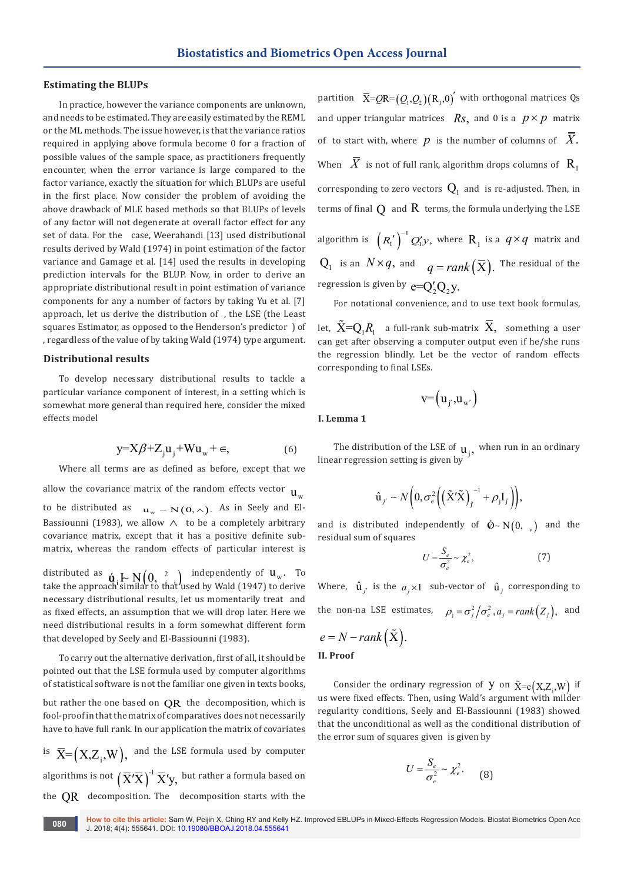## **Estimating the BLUPs**

In practice, however the variance components are unknown, and needs to be estimated. They are easily estimated by the REML or the ML methods. The issue however, is that the variance ratios required in applying above formula become 0 for a fraction of possible values of the sample space, as practitioners frequently encounter, when the error variance is large compared to the factor variance, exactly the situation for which BLUPs are useful in the first place. Now consider the problem of avoiding the above drawback of MLE based methods so that BLUPs of levels of any factor will not degenerate at overall factor effect for any set of data. For the case, Weerahandi [13] used distributional results derived by Wald (1974) in point estimation of the factor variance and Gamage et al. [14] used the results in developing prediction intervals for the BLUP. Now, in order to derive an appropriate distributional result in point estimation of variance components for any a number of factors by taking Yu et al. [7] approach, let us derive the distribution of , the LSE (the Least squares Estimator, as opposed to the Henderson's predictor ) of , regardless of the value of by taking Wald (1974) type argument.

## **Distributional results**

To develop necessary distributional results to tackle a particular variance component of interest, in a setting which is somewhat more general than required here, consider the mixed effects model

$$
y=X\beta+Z_ju_j+Wu_w+\in,
$$
 (6)

Where all terms are as defined as before, except that we

allow the covariance matrix of the random effects vector  $\mathbf{u}$ to be distributed as  $u_w \sim N(0, \wedge)$ . As in Seely and El-Bassiounni (1983), we allow  $\wedge$  to be a completely arbitrary covariance matrix, except that it has a positive definite submatrix, whereas the random effects of particular interest is

distributed as  $\mathbf{\dot{u}}_i \in N(0, \frac{2}{n})$  independently of  $u_w$ . To take the approach similar to that used by Wald (1947) to derive necessary distributional results, let us momentarily treat and as fixed effects, an assumption that we will drop later. Here we need distributional results in a form somewhat different form that developed by Seely and El-Bassiounni (1983).

To carry out the alternative derivation, first of all, it should be pointed out that the LSE formula used by computer algorithms of statistical software is not the familiar one given in texts books,

but rather the one based on  $QR$  the decomposition, which is fool-proof in that the matrix of comparatives does not necessarily have to have full rank. In our application the matrix of covariates

is  $\overline{X} = (X, Z_i, W)$ , and the LSE formula used by computer algorithms is not  $\left(\overline{X}'\overline{X}\right)^{-1}\overline{X}'\mathsf{y},\,$  but rather a formula based on the QR decomposition. The decomposition starts with the

partition  $\bar{X} = QR = (Q_1, Q_2)(R_1, 0)$ <sup>'</sup> with orthogonal matrices Qs and upper triangular matrices  $R_s$ , and 0 is a  $p \times p$  matrix of to start with, where  $p$  is the number of columns of  $\overline{X}$ . When  $\overline{X}$  is not of full rank, algorithm drops columns of  $\overline{R}_1$ corresponding to zero vectors  $Q_1$  and is re-adjusted. Then, in terms of final  $\Omega$  and  $\mathbb R$  terms, the formula underlying the LSE

algorithm is  $(R'_1)^{-1}Q'_1y$ , where  $R_1$  is a  $q \times q$  matrix and  $Q_1$  is an  $N \times q$ , and  $q = rank(\overline{X})$ . The residual of the regression is given by  $e=Q'_2Q_3V$ .

For notational convenience, and to use text book formulas,

let,  $\tilde{X}=Q_1 R_1$  a full-rank sub-matrix  $\overline{X}$ , something a user can get after observing a computer output even if he/she runs the regression blindly. Let be the vector of random effects corresponding to final LSEs.

$$
\scriptstyle\mathop{\rm v}=\left(\mathop{\rm u}\nolimits_{j'},\mathop{\rm u}\nolimits_{\mathop{\rm w}\nolimits'}\right)
$$

**I. Lemma 1** 

The distribution of the LSE of  $\mathbf{u}_j$ , when run in an ordinary linear regression setting is given by

$$
\hat{\mathbf{u}}_{j'} \sim N\bigg(0, \sigma_{\mathrm{e}}^2\bigg(\big(\tilde{\mathbf{X}}'\tilde{\mathbf{X}}\big)_{j'}^{-1} + \rho_{\mathrm{j}}\mathbf{I}_{j'}\bigg)\bigg),\,
$$

and is distributed independently of  $\acute{\Phi} \sim N(0, )$  and the residual sum of squares

$$
U = \frac{S_e}{\sigma_e^2} \sim \chi_e^2,\tag{7}
$$

Where,  $\hat{\mathbf{u}}_{i'}$  is the  $a_i \times 1$  sub-vector of  $\hat{\mathbf{u}}_i$  corresponding to the non-na LSE estimates,  $\rho_j = \frac{\sigma_j^2}{\sigma_e^2}$ ,  $a_j = rank(Z_j)$ , and

$$
e = N - rank(\tilde{X}).
$$

**II. Proof**

Consider the ordinary regression of Y on  $\tilde{X}=c(X,Z,W)$  if us were fixed effects. Then, using Wald's argument with milder regularity conditions, Seely and El-Bassiounni (1983) showed that the unconditional as well as the conditional distribution of the error sum of squares given is given by

$$
U = \frac{S_e}{\sigma_e^2} \sim \chi_e^2. \qquad (8)
$$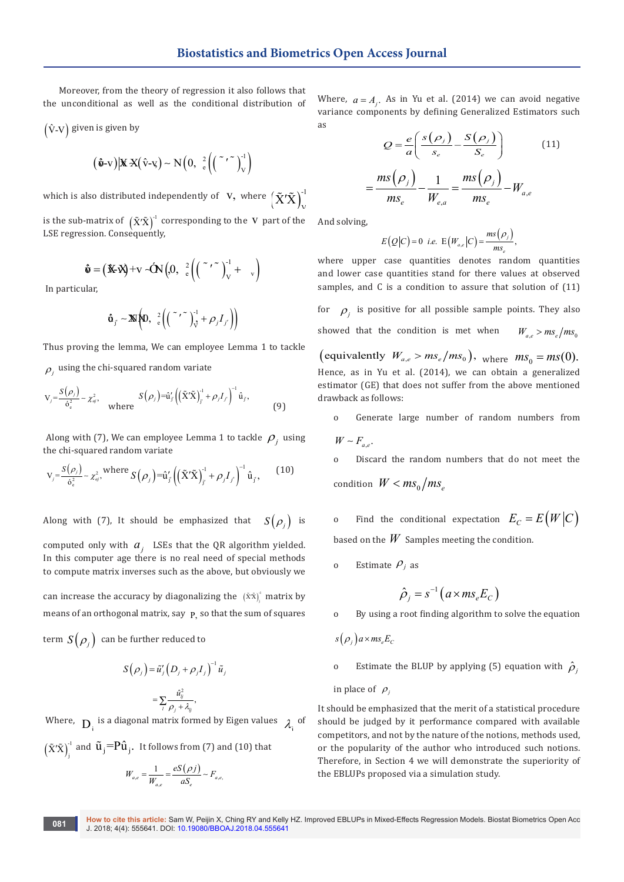Moreover, from the theory of regression it also follows that the unconditional as well as the conditional distribution of

$$
(\hat{V} - V) \text{ given is given by}
$$

$$
(\hat{\mathbf{v}}\text{-}\mathbf{v})\big|\mathbf{X}\mathbf{X}(\hat{\mathbf{v}}\text{-}\mathbf{v}) - \mathbf{N}\big(0, \frac{2}{e}\bigg(\bigg(\begin{array}{c} \tilde{\mathbf{v}}\cdot\tilde{\mathbf{v}} \\ 0 \end{array}\bigg)^{-1}\bigg)
$$

which is also distributed independently of  $\mathbf{V},$  where  $\left(\tilde{\mathbf{X}}'\tilde{\mathbf{X}}\right)^{-1}_{\mathbf{V}}$  $\tilde{\mathrm{X}}'\tilde{\mathrm{X}}\big)^{-1}_{\mathrm{V}}$ is the sub-matrix of  $(\tilde{X}'\tilde{X})^1$  corresponding to the V part of the LSE regression. Consequently,

$$
\hat{\mathbf{v}} = (\mathbf{\hat{x}} \cdot \mathbf{\hat{y}}) + \mathbf{v} \cdot \hat{\mathbf{O}} \mathbf{N} \left(0, \frac{2}{c} \left( \left(\begin{array}{c} \mathbf{v} \cdot \mathbf{v} \\ \mathbf{v} \end{array}\right)_{\mathbf{v}}^{-1} + \mathbf{v}\right) \right)
$$

In particular,

$$
\hat{\mathbf{u}}_{j'} \sim \mathbb{N}\left(0, \frac{2}{e}\left(\left(\begin{array}{c} \tilde{\mathbf{v}} & \tilde{\mathbf{v}} \\ \mathbf{v} & \mathbf{v} \end{array}\right)_{\mathcal{V}}^{-1} + \rho_j I_{j'}\right)\right)
$$

Thus proving the lemma, We can employee Lemma 1 to tackle  $\rho_i$  using the chi-squared random variate

$$
V_j = \frac{S(\rho_j)}{\dot{\sigma}_e^2} \sim \chi_{aj}^2, \quad \text{where} \quad S(\rho_j) = \hat{u}_j' \left( (\tilde{X}'\tilde{X})_{j'}^{-1} + \rho_j I_{j'} \right)^{-1} \hat{u}_j,
$$
 (9)

Along with (7), We can employee Lemma 1 to tackle  $\rho_i$  using the chi-squared random variate

$$
V_j = \frac{S(\rho_j)}{\dot{\sigma}_e^2} \sim \chi_{aj}^2, \text{ where } S(\rho_j) = \hat{u}_j' \left( (\tilde{X}'\tilde{X})_{j'}^{-1} + \rho_j I_{j'} \right)^{-1} \hat{u}_j, \quad (10)
$$

Along with (7), It should be emphasized that  $S(\rho_i)$  is computed only with  $a_i$ . LSEs that the QR algorithm yielded. In this computer age there is no real need of special methods to compute matrix inverses such as the above, but obviously we

can increase the accuracy by diagonalizing the  $(\tilde{x} \tilde{x})^1$  matrix by means of an orthogonal matrix, say p so that the sum of squares

term  $S(\rho_i)$  can be further reduced to

$$
S(\rho_j) = \tilde{u}'_j (D_j + \rho_j I_j)^{-1} \tilde{u}_j
$$
  
= 
$$
\sum_l \frac{\hat{u}_j^2}{\rho_j + \lambda_j},
$$

Where,  $D_i$  is a diagonal matrix formed by Eigen values  $\lambda_i$  of  $(\tilde{\rm X}'\tilde{\rm X})^{^{\!-1}}$  $\tilde{X}'\tilde{X}\Big)_{^{\!j}}^{\!-1}$  and  $\tilde{\mathbf{u}}_{\,j}\!\!=\!\!\mathbf{P}\hat{\mathbf{u}}_{\,j}^{\!-1}\!$  . It follows from (7) and (10) that

$$
W_{a,e} = \frac{1}{W_{a,e}} = \frac{eS(\rho j)}{aS_e} \sim F_{a,e}
$$

Where,  $a = A_j$ . As in Yu et al. (2014) we can avoid negative variance components by defining Generalized Estimators such as

$$
Q = \frac{e}{a} \left( \frac{s(\rho_j)}{s_e} - \frac{s(\rho_j)}{s_e} \right)
$$
(11)  

$$
= \frac{ms(\rho_j)}{ms_e} - \frac{1}{W_{e,a}} = \frac{ms(\rho_j)}{ms_e} - W_{a,e}
$$

And solving,

$$
E\big(Q\big|C\big)=0\ \ i.e.\ \ E\big(W_{a,e}\big|C\big)=\frac{ms\big(\rho_j\big)}{ms_e},
$$

where upper case quantities denotes random quantities and lower case quantities stand for there values at observed samples, and C is a condition to assure that solution of (11)

for  $\rho_i$  is positive for all possible sample points. They also showed that the condition is met when  $W_a > ms_a / ms_a$ (equivalently  $W_{a,e} > ms_e / ms_0$ ), where  $ms_0 = ms(0)$ .

Hence, as in Yu et al. (2014), we can obtain a generalized estimator (GE) that does not suffer from the above mentioned drawback as follows:

o Generate large number of random numbers from

$$
W \sim F_{a,e}.
$$

o Discard the random numbers that do not meet the condition  $W < ms_0/ms$ 

o Find the conditional expectation  $E_C = E(W|C)$ based on the *W* Samples meeting the condition.

o Estimate  $\rho_i$  as

$$
\hat{\rho}_j = s^{-1} \left( a \times m s_e E_c \right)
$$

o By using a root finding algorithm to solve the equation

$$
s(\rho_j)a \times ms_e E_c
$$

o Estimate the BLUP by applying (5) equation with  $\hat{\rho}_i$ 

in place of  $\rho_i$ 

It should be emphasized that the merit of a statistical procedure should be judged by it performance compared with available competitors, and not by the nature of the notions, methods used, or the popularity of the author who introduced such notions. Therefore, in Section 4 we will demonstrate the superiority of the EBLUPs proposed via a simulation study.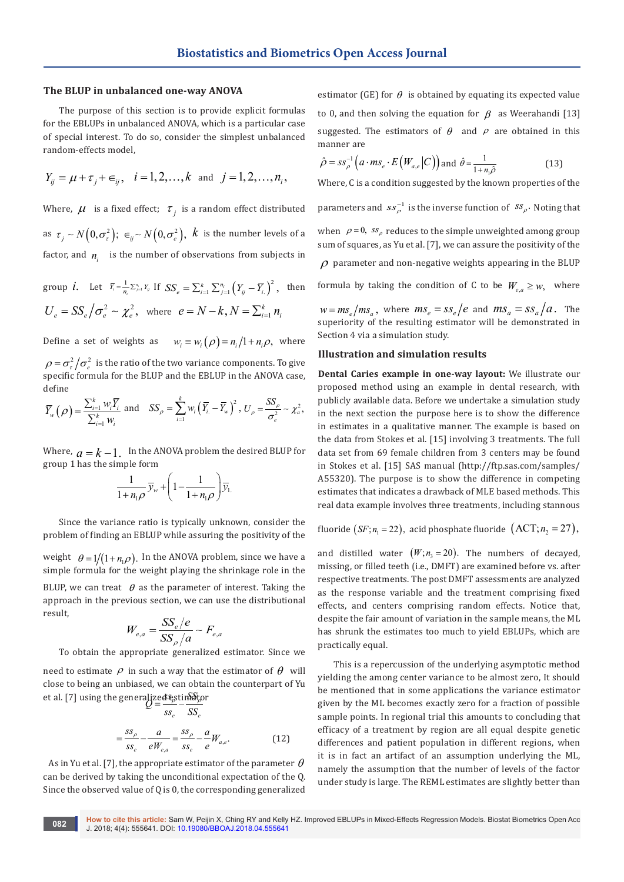## **The BLUP in unbalanced one-way ANOVA**

The purpose of this section is to provide explicit formulas for the EBLUPs in unbalanced ANOVA, which is a particular case of special interest. To do so, consider the simplest unbalanced random-effects model,

$$
Y_{ij} = \mu + \tau_j + \epsilon_{ij}
$$
,  $i = 1, 2, ..., k$  and  $j = 1, 2, ..., n_i$ ,

Where,  $\mu$  is a fixed effect;  $\tau$  is a random effect distributed as  $\tau_i \sim N(0, \sigma_i^2); \ \epsilon_{ii} \sim N(0, \sigma_i^2), \ k$  is the number levels of a factor, and  $n_i$  is the number of observations from subjects in

group *i*. Let  $\bar{Y}_i = \frac{1}{n_i} \sum_{j=1}^{n_i} Y_{ij}$  If  $SS_e = \sum_{i=1}^k \sum_{j=1}^{n_i} (Y_{ij} - \overline{Y}_{i.})^2$ , then  $U_e = SS_e / \sigma_e^2 \sim \chi_e^2$ , where  $e = N - k$ ,  $N = \sum_{i=1}^k n_i$ 

Define a set of weights as  $w_i \equiv w_i (\rho) = n_i/1 + n_i \rho$ , where

 $\rho = \sigma_r^2 / \sigma_s^2$  is the ratio of the two variance components. To give specific formula for the BLUP and the EBLUP in the ANOVA case, define

$$
\overline{Y}_{w}\left(\rho\right) = \frac{\sum_{i=1}^{k} w_{i} \overline{Y}_{i}}{\sum_{i=1}^{k} w_{i}} \text{ and } \quad SS_{\rho} = \sum_{i=1}^{k} w_{i} \left(\overline{Y}_{i.} - \overline{Y}_{w}\right)^{2}, \ U_{\rho} = \frac{SS_{\rho}}{\sigma_{e}^{2}} \sim \chi_{a}^{2},
$$

Where,  $a = k - 1$ . In the ANOVA problem the desired BLUP for group 1 has the simple form

$$
\frac{1}{1+n_1\rho}\overline{y}_w + \left(1 - \frac{1}{1+n_1\rho}\right)\overline{y}_1
$$

Since the variance ratio is typically unknown, consider the problem of finding an EBLUP while assuring the positivity of the

weight  $\theta = 1/(1 + n_1 \rho)$ . In the ANOVA problem, since we have a simple formula for the weight playing the shrinkage role in the BLUP, we can treat  $\theta$  as the parameter of interest. Taking the approach in the previous section, we can use the distributional

$$
W_{e,a} = \frac{SS_e/e}{SS_\rho/a} \sim F_{e,a}
$$

result,

To obtain the appropriate generalized estimator. Since we

need to estimate  $\rho$  in such a way that the estimator of  $\theta$  will close to being an unbiased, we can obtain the counterpart of Yu et al. [7] using the generalized  $\mathcal{Q} = \frac{S}{ss_e} - \frac{S}{SS_e}$ 

$$
Q = \frac{SS_e}{SS_e} - \frac{SS_e}{SS_e}
$$

$$
= \frac{SS_e}{SS_e} - \frac{a}{eW_{e,a}} = \frac{SS_e}{SS_e} - \frac{a}{e}W_{a,e}.
$$
(12)

As in Yu et al. [7], the appropriate estimator of the parameter  $\theta$ can be derived by taking the unconditional expectation of the Q. Since the observed value of Q is 0, the corresponding generalized estimator (GE) for  $\theta$  is obtained by equating its expected value to 0, and then solving the equation for  $\beta$  as Weerahandi [13] suggested. The estimators of  $\theta$  and  $\rho$  are obtained in this manner are

$$
\hat{\rho} = s s_{\rho}^{-1} \left( a \cdot m s_e \cdot E \left( W_{a,e} \middle| C \right) \right) \text{and } \hat{\theta} = \frac{1}{1 + n_{\rho} \hat{\rho}}
$$
\n(13)

Where, C is a condition suggested by the known properties of the

parameters and  $ss_\rho^{-1}$  is the inverse function of  $~^{SS_\rho{\bf\cdot}}$  Noting that

when  $\rho = 0$ ,  $ss_{\rho}$  reduces to the simple unweighted among group sum of squares, as Yu et al. [7], we can assure the positivity of the

 $\rho$  parameter and non-negative weights appearing in the BLUP

formula by taking the condition of C to be  $W_{eq} \geq w$ , where

 $w = ms_e / ms_a$ , where  $ms_e = ss_e / e$  and  $ms_a = ss_a / a$ . The superiority of the resulting estimator will be demonstrated in Section 4 via a simulation study.

#### **Illustration and simulation results**

**Dental Caries example in one-way layout:** We illustrate our proposed method using an example in dental research, with publicly available data. Before we undertake a simulation study in the next section the purpose here is to show the difference in estimates in a qualitative manner. The example is based on the data from Stokes et al. [15] involving 3 treatments. The full data set from 69 female children from 3 centers may be found in Stokes et al. [15] SAS manual (http://ftp.sas.com/samples/ A55320). The purpose is to show the difference in competing estimates that indicates a drawback of MLE based methods. This real data example involves three treatments, including stannous

fluoride  $(SF; n_1 = 22)$ , acid phosphate fluoride  $(ACT; n_2 = 27)$ ,

and distilled water  $(W; n<sub>3</sub> = 20)$ . The numbers of decayed, missing, or filled teeth (i.e., DMFT) are examined before vs. after respective treatments. The post DMFT assessments are analyzed as the response variable and the treatment comprising fixed effects, and centers comprising random effects. Notice that, despite the fair amount of variation in the sample means, the ML has shrunk the estimates too much to yield EBLUPs, which are practically equal.

This is a repercussion of the underlying asymptotic method yielding the among center variance to be almost zero, It should be mentioned that in some applications the variance estimator given by the ML becomes exactly zero for a fraction of possible sample points. In regional trial this amounts to concluding that efficacy of a treatment by region are all equal despite genetic differences and patient population in different regions, when it is in fact an artifact of an assumption underlying the ML, namely the assumption that the number of levels of the factor under study is large. The REML estimates are slightly better than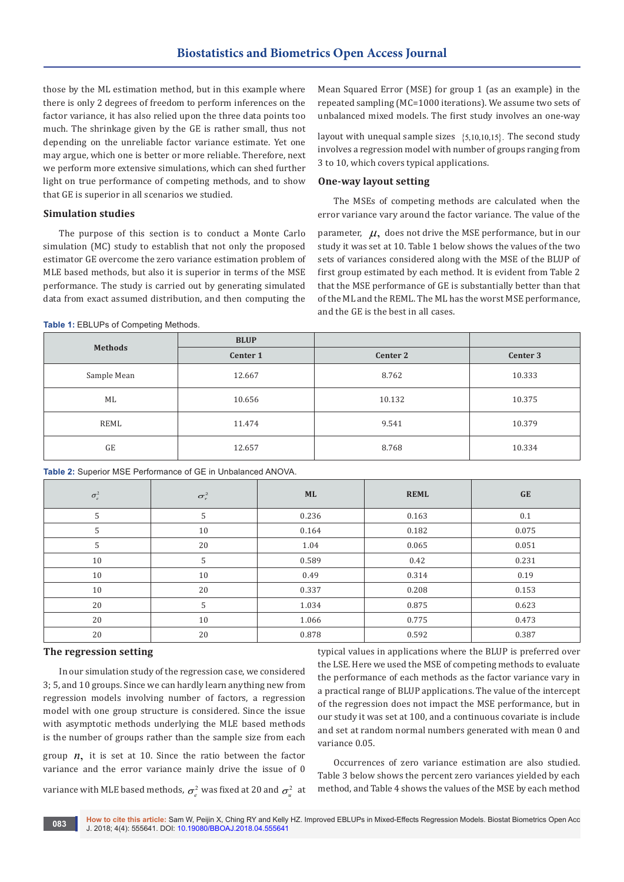those by the ML estimation method, but in this example where there is only 2 degrees of freedom to perform inferences on the factor variance, it has also relied upon the three data points too much. The shrinkage given by the GE is rather small, thus not depending on the unreliable factor variance estimate. Yet one may argue, which one is better or more reliable. Therefore, next we perform more extensive simulations, which can shed further light on true performance of competing methods, and to show that GE is superior in all scenarios we studied.

# **Simulation studies**

The purpose of this section is to conduct a Monte Carlo simulation (MC) study to establish that not only the proposed estimator GE overcome the zero variance estimation problem of MLE based methods, but also it is superior in terms of the MSE performance. The study is carried out by generating simulated data from exact assumed distribution, and then computing the

Mean Squared Error (MSE) for group 1 (as an example) in the repeated sampling (MC=1000 iterations). We assume two sets of unbalanced mixed models. The first study involves an one-way

layout with unequal sample sizes  $\{5,10,10,15\}$ . The second study involves a regression model with number of groups ranging from 3 to 10, which covers typical applications.

## **One-way layout setting**

The MSEs of competing methods are calculated when the error variance vary around the factor variance. The value of the

parameter,  $\mu$ , does not drive the MSE performance, but in our study it was set at 10. Table 1 below shows the values of the two sets of variances considered along with the MSE of the BLUP of first group estimated by each method. It is evident from Table 2 that the MSE performance of GE is substantially better than that of the ML and the REML. The ML has the worst MSE performance, and the GE is the best in all cases.

**Table 1:** EBLUPs of Competing Methods.

|                | <b>BLUP</b> |          |          |
|----------------|-------------|----------|----------|
| <b>Methods</b> | Center 1    | Center 2 | Center 3 |
| Sample Mean    | 12.667      | 8.762    | 10.333   |
| ML             | 10.656      | 10.132   | 10.375   |
| REML           | 11.474      | 9.541    | 10.379   |
| <b>GE</b>      | 12.657      | 8.768    | 10.334   |

**Table 2:** Superior MSE Performance of GE in Unbalanced ANOVA.

| $\sigma_e^2$ | $\sigma_{\tau}^2$ | <b>ML</b> | <b>REML</b> | <b>GE</b> |
|--------------|-------------------|-----------|-------------|-----------|
| 5            | 5                 | 0.236     | 0.163       | 0.1       |
| 5            | 10                | 0.164     | 0.182       | 0.075     |
| 5            | 20                | 1.04      | 0.065       | 0.051     |
| 10           | 5                 | 0.589     | 0.42        | 0.231     |
| 10           | 10                | 0.49      | 0.314       | 0.19      |
| 10           | 20                | 0.337     | 0.208       | 0.153     |
| 20           | 5                 | 1.034     | 0.875       | 0.623     |
| 20           | 10                | 1.066     | 0.775       | 0.473     |
| 20           | 20                | 0.878     | 0.592       | 0.387     |

# **The regression setting**

In our simulation study of the regression case, we considered 3; 5, and 10 groups. Since we can hardly learn anything new from regression models involving number of factors, a regression model with one group structure is considered. Since the issue with asymptotic methods underlying the MLE based methods is the number of groups rather than the sample size from each group  $n$ , it is set at 10. Since the ratio between the factor

variance and the error variance mainly drive the issue of 0

variance with MLE based methods,  $\sigma_{\rm e}^2$  was fixed at 20 and  $\sigma_{\rm u}^2$  at

typical values in applications where the BLUP is preferred over the LSE. Here we used the MSE of competing methods to evaluate the performance of each methods as the factor variance vary in a practical range of BLUP applications. The value of the intercept of the regression does not impact the MSE performance, but in our study it was set at 100, and a continuous covariate is include and set at random normal numbers generated with mean 0 and variance 0.05.

Occurrences of zero variance estimation are also studied. Table 3 below shows the percent zero variances yielded by each method, and Table 4 shows the values of the MSE by each method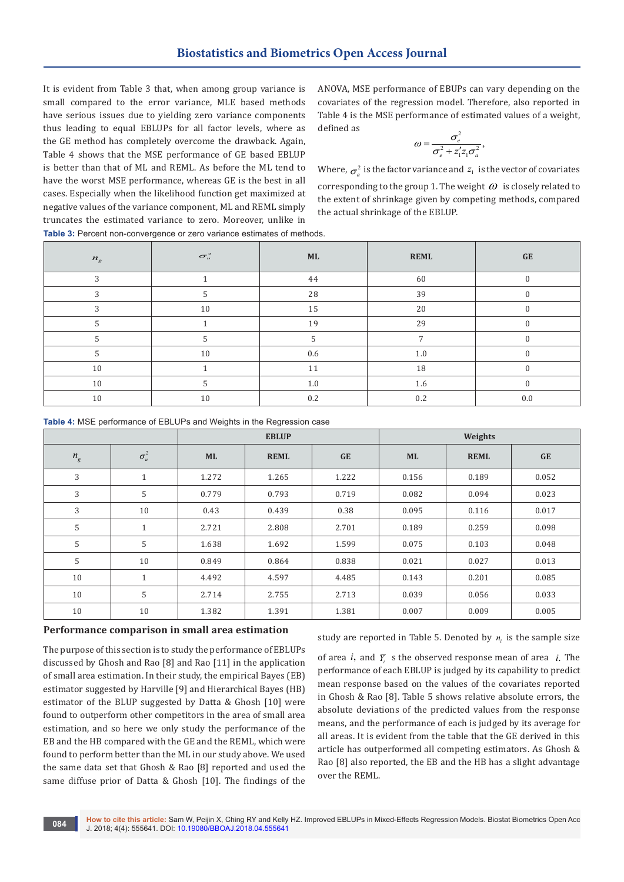It is evident from Table 3 that, when among group variance is small compared to the error variance, MLE based methods have serious issues due to yielding zero variance components thus leading to equal EBLUPs for all factor levels, where as the GE method has completely overcome the drawback. Again, Table 4 shows that the MSE performance of GE based EBLUP is better than that of ML and REML. As before the ML tend to have the worst MSE performance, whereas GE is the best in all cases. Especially when the likelihood function get maximized at negative values of the variance component, ML and REML simply truncates the estimated variance to zero. Moreover, unlike in

ANOVA, MSE performance of EBUPs can vary depending on the covariates of the regression model. Therefore, also reported in Table 4 is the MSE performance of estimated values of a weight, defined as

$$
\omega = \frac{\sigma_e^2}{\sigma_e^2 + z_1' z_1 \sigma_a^2},
$$

Where,  $\sigma_a^2$  is the factor variance and  $z_1$  is the vector of covariates corresponding to the group 1. The weight  $\omega$  is closely related to the extent of shrinkage given by competing methods, compared the actual shrinkage of the EBLUP.

**Table 3:** Percent non-convergence or zero variance estimates of methods.

| $n_{\rm g}$ | $\sigma^2_u$ | ML      | <b>REML</b>    | <b>GE</b>    |
|-------------|--------------|---------|----------------|--------------|
| 3           |              | 44      | 60             | $\Omega$     |
| 3           |              | 28      | 39             |              |
| 3           | 10           | $15\,$  | 20             | $\Omega$     |
|             |              | 19      | 29             | $\Omega$     |
| 5           | 5            | 5       | $\overline{ }$ | 0            |
| 5           | 10           | 0.6     | 1.0            | $\theta$     |
| 10          |              | 11      | 18             |              |
| 10          | 5            | $1.0\,$ | $1.6\,$        | $\mathbf{0}$ |
| 10          | 10           | 0.2     | 0.2            | 0.0          |

**Table 4:** MSE performance of EBLUPs and Weights in the Regression case

|         |              | <b>EBLUP</b> |             | Weights   |           |             |           |
|---------|--------------|--------------|-------------|-----------|-----------|-------------|-----------|
| $n_{g}$ | $\sigma_u^2$ | <b>ML</b>    | <b>REML</b> | <b>GE</b> | <b>ML</b> | <b>REML</b> | <b>GE</b> |
| 3       | $\mathbf{1}$ | 1.272        | 1.265       | 1.222     | 0.156     | 0.189       | 0.052     |
| 3       | 5            | 0.779        | 0.793       | 0.719     | 0.082     | 0.094       | 0.023     |
| 3       | 10           | 0.43         | 0.439       | 0.38      | 0.095     | 0.116       | 0.017     |
| 5       | $\mathbf{1}$ | 2.721        | 2.808       | 2.701     | 0.189     | 0.259       | 0.098     |
| 5       | 5            | 1.638        | 1.692       | 1.599     | 0.075     | 0.103       | 0.048     |
| 5       | 10           | 0.849        | 0.864       | 0.838     | 0.021     | 0.027       | 0.013     |
| 10      | $\mathbf{1}$ | 4.492        | 4.597       | 4.485     | 0.143     | 0.201       | 0.085     |
| 10      | 5            | 2.714        | 2.755       | 2.713     | 0.039     | 0.056       | 0.033     |
| 10      | 10           | 1.382        | 1.391       | 1.381     | 0.007     | 0.009       | 0.005     |

# **Performance comparison in small area estimation**

The purpose of this section is to study the performance of EBLUPs discussed by Ghosh and Rao [8] and Rao [11] in the application of small area estimation. In their study, the empirical Bayes (EB) estimator suggested by Harville [9] and Hierarchical Bayes (HB) estimator of the BLUP suggested by Datta & Ghosh [10] were found to outperform other competitors in the area of small area estimation, and so here we only study the performance of the EB and the HB compared with the GE and the REML, which were found to perform better than the ML in our study above. We used the same data set that Ghosh & Rao [8] reported and used the same diffuse prior of Datta & Ghosh [10]. The findings of the

study are reported in Table 5. Denoted by  $n_i$  is the sample size

of area *i*, and  $\overline{Y}$  s the observed response mean of area *i*. The performance of each EBLUP is judged by its capability to predict mean response based on the values of the covariates reported in Ghosh & Rao [8]. Table 5 shows relative absolute errors, the absolute deviations of the predicted values from the response means, and the performance of each is judged by its average for all areas. It is evident from the table that the GE derived in this article has outperformed all competing estimators. As Ghosh & Rao [8] also reported, the EB and the HB has a slight advantage over the REML.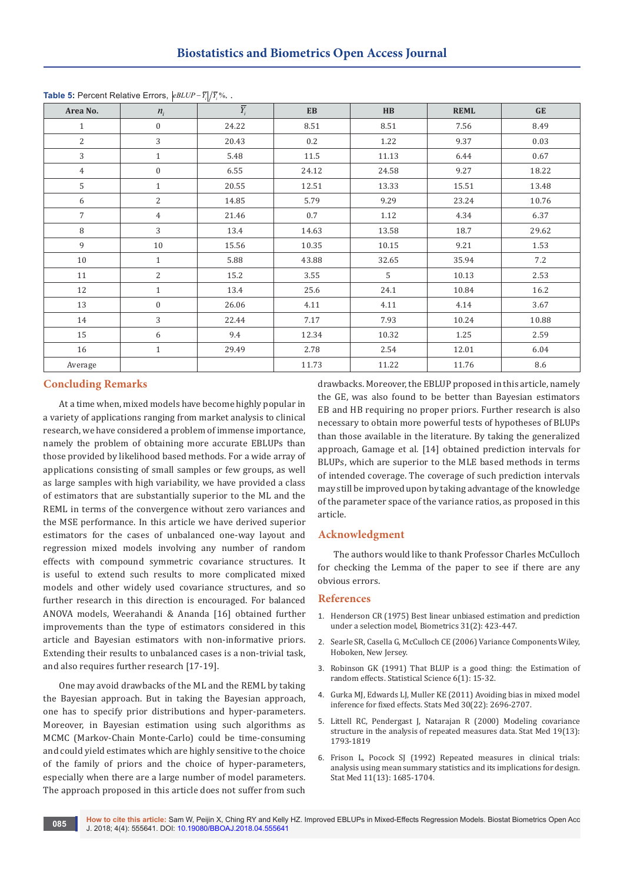| Area No.       | $n_i$            | $\overline{Y}_i$ | EB       | $\mathbf{H}\mathbf{B}$ | <b>REML</b> | GE      |
|----------------|------------------|------------------|----------|------------------------|-------------|---------|
| $\mathbf{1}$   | $\boldsymbol{0}$ | 24.22            | 8.51     | 8.51                   | 7.56        | 8.49    |
| 2              | 3                | 20.43            | 0.2      | 1.22                   | 9.37        | 0.03    |
| 3              | $\mathbf{1}$     | 5.48             | $11.5\,$ | 11.13                  | 6.44        | 0.67    |
| $\overline{4}$ | $\boldsymbol{0}$ | 6.55             | 24.12    | 24.58                  | 9.27        | 18.22   |
| 5              | $\mathbf{1}$     | 20.55            | 12.51    | 13.33                  | 15.51       | 13.48   |
| 6              | 2                | 14.85            | 5.79     | 9.29                   | 23.24       | 10.76   |
| $\overline{7}$ | $\overline{4}$   | 21.46            | 0.7      | 1.12                   | 4.34        | 6.37    |
| 8              | 3                | 13.4             | 14.63    | 13.58                  | 18.7        | 29.62   |
| 9              | 10               | 15.56            | 10.35    | 10.15                  | 9.21        | 1.53    |
| 10             | $\mathbf{1}$     | 5.88             | 43.88    | 32.65                  | 35.94       | 7.2     |
| 11             | $\overline{c}$   | 15.2             | 3.55     | 5                      | 10.13       | 2.53    |
| 12             | $\mathbf{1}$     | 13.4             | 25.6     | 24.1                   | 10.84       | 16.2    |
| 13             | $\boldsymbol{0}$ | 26.06            | 4.11     | 4.11                   | 4.14        | 3.67    |
| 14             | 3                | 22.44            | 7.17     | 7.93                   | 10.24       | 10.88   |
| 15             | 6                | 9.4              | 12.34    | 10.32                  | 1.25        | 2.59    |
| 16             | $\mathbf{1}$     | 29.49            | 2.78     | 2.54                   | 12.01       | 6.04    |
| Average        |                  |                  | 11.73    | 11.22                  | 11.76       | $\,8.6$ |

**Table 5:** Percent Relative Errors,  $|eBLUP - \overline{Y}_i|/\overline{Y}_i$ %, .

# **Concluding Remarks**

At a time when, mixed models have become highly popular in a variety of applications ranging from market analysis to clinical research, we have considered a problem of immense importance, namely the problem of obtaining more accurate EBLUPs than those provided by likelihood based methods. For a wide array of applications consisting of small samples or few groups, as well as large samples with high variability, we have provided a class of estimators that are substantially superior to the ML and the REML in terms of the convergence without zero variances and the MSE performance. In this article we have derived superior estimators for the cases of unbalanced one-way layout and regression mixed models involving any number of random effects with compound symmetric covariance structures. It is useful to extend such results to more complicated mixed models and other widely used covariance structures, and so further research in this direction is encouraged. For balanced ANOVA models, Weerahandi & Ananda [16] obtained further improvements than the type of estimators considered in this article and Bayesian estimators with non-informative priors. Extending their results to unbalanced cases is a non-trivial task, and also requires further research [17-19].

One may avoid drawbacks of the ML and the REML by taking the Bayesian approach. But in taking the Bayesian approach, one has to specify prior distributions and hyper-parameters. Moreover, in Bayesian estimation using such algorithms as MCMC (Markov-Chain Monte-Carlo) could be time-consuming and could yield estimates which are highly sensitive to the choice of the family of priors and the choice of hyper-parameters, especially when there are a large number of model parameters. The approach proposed in this article does not suffer from such

drawbacks. Moreover, the EBLUP proposed in this article, namely the GE, was also found to be better than Bayesian estimators EB and HB requiring no proper priors. Further research is also necessary to obtain more powerful tests of hypotheses of BLUPs than those available in the literature. By taking the generalized approach, Gamage et al. [14] obtained prediction intervals for BLUPs, which are superior to the MLE based methods in terms of intended coverage. The coverage of such prediction intervals may still be improved upon by taking advantage of the knowledge of the parameter space of the variance ratios, as proposed in this article.

## **Acknowledgment**

The authors would like to thank Professor Charles McCulloch for checking the Lemma of the paper to see if there are any obvious errors.

#### **References**

- 1. [Henderson CR \(1975\) Best linear unbiased estimation and prediction](https://www.ncbi.nlm.nih.gov/pubmed/1174616)  [under a selection model, Biometrics 31\(2\): 423-447.](https://www.ncbi.nlm.nih.gov/pubmed/1174616)
- 2. [Searle SR, Casella G, McCulloch CE \(2006\) Variance Components Wiley,](https://www.wiley.com/en-ai/Variance+Components-p-9780470009598)  [Hoboken, New Jersey.](https://www.wiley.com/en-ai/Variance+Components-p-9780470009598)
- 3. [Robinson GK \(1991\) That BLUP is a good thing: the Estimation of](https://projecteuclid.org/euclid.ss/1177011926)  [random effects. Statistical Science 6\(1\): 15-32.](https://projecteuclid.org/euclid.ss/1177011926)
- 4. [Gurka MJ, Edwards LJ, Muller KE \(2011\) Avoiding bias in mixed model](https://www.ncbi.nlm.nih.gov/pubmed/21751227)  [inference for fixed effects. Stats Med 30\(22\): 2696-2707.](https://www.ncbi.nlm.nih.gov/pubmed/21751227)
- 5. [Littell RC, Pendergast J, Natarajan R \(2000\) Modeling covariance](https://www.ncbi.nlm.nih.gov/pubmed/10861779)  [structure in the analysis of repeated measures data. Stat Med 19\(13\):](https://www.ncbi.nlm.nih.gov/pubmed/10861779)  [1793-1819](https://www.ncbi.nlm.nih.gov/pubmed/10861779)
- 6. [Frison L, Pocock SJ \(1992\) Repeated measures in clinical trials:](https://www.ncbi.nlm.nih.gov/pubmed/1485053)  [analysis using mean summary statistics and its implications for design.](https://www.ncbi.nlm.nih.gov/pubmed/1485053)  [Stat Med 11\(13\): 1685-1704.](https://www.ncbi.nlm.nih.gov/pubmed/1485053)